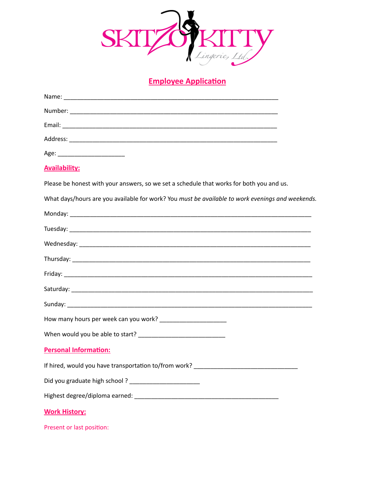

## **Employee Application**

| Age: _____________________________                                                               |
|--------------------------------------------------------------------------------------------------|
| <b>Availability:</b>                                                                             |
| Please be honest with your answers, so we set a schedule that works for both you and us.         |
| What days/hours are you available for work? You must be available to work evenings and weekends. |
|                                                                                                  |
|                                                                                                  |
|                                                                                                  |
|                                                                                                  |
|                                                                                                  |
|                                                                                                  |
|                                                                                                  |
|                                                                                                  |
|                                                                                                  |
| <b>Personal Information:</b>                                                                     |
| If hired, would you have transportation to/from work?                                            |
|                                                                                                  |
|                                                                                                  |
| <b>Work History:</b>                                                                             |
| Present or last position:                                                                        |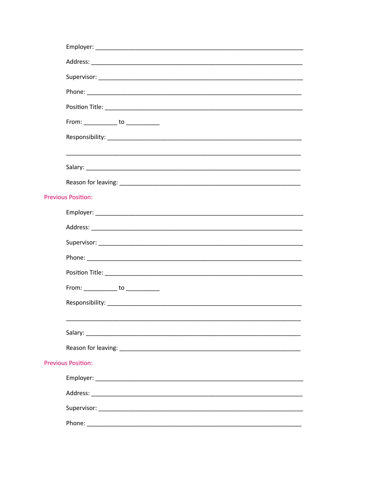| From: ______________ to _____________ |
|---------------------------------------|
|                                       |
|                                       |
|                                       |
|                                       |
| <b>Previous Position:</b>             |
|                                       |
|                                       |
|                                       |
|                                       |
|                                       |
| From: _____________ to ____________   |
|                                       |
|                                       |
|                                       |
|                                       |
| <b>Previous Position:</b>             |
|                                       |
|                                       |
|                                       |
|                                       |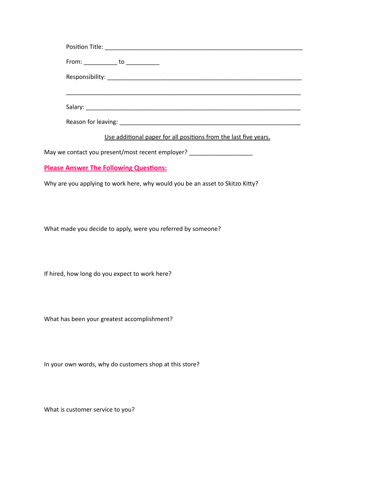| From: ______________ to ____________                                                                                                                                                                                              |
|-----------------------------------------------------------------------------------------------------------------------------------------------------------------------------------------------------------------------------------|
|                                                                                                                                                                                                                                   |
|                                                                                                                                                                                                                                   |
|                                                                                                                                                                                                                                   |
|                                                                                                                                                                                                                                   |
| $\mathbf{r}$ , and the contract of the contract of the contract of the contract of the contract of the contract of the contract of the contract of the contract of the contract of the contract of the contract of the contract o |

Use additional paper for all positions from the last five years.

May we contact you present/most recent employer? \_\_\_\_\_\_\_\_\_\_\_\_\_\_\_\_\_\_\_\_\_\_\_\_\_\_\_\_\_\_\_

## **Please Answer The Following Questions:**

Why are you applying to work here, why would you be an asset to Skitzo Kitty?

What made you decide to apply, were you referred by someone?

If hired, how long do you expect to work here?

What has been your greatest accomplishment?

In your own words, why do customers shop at this store?

What is customer service to you?